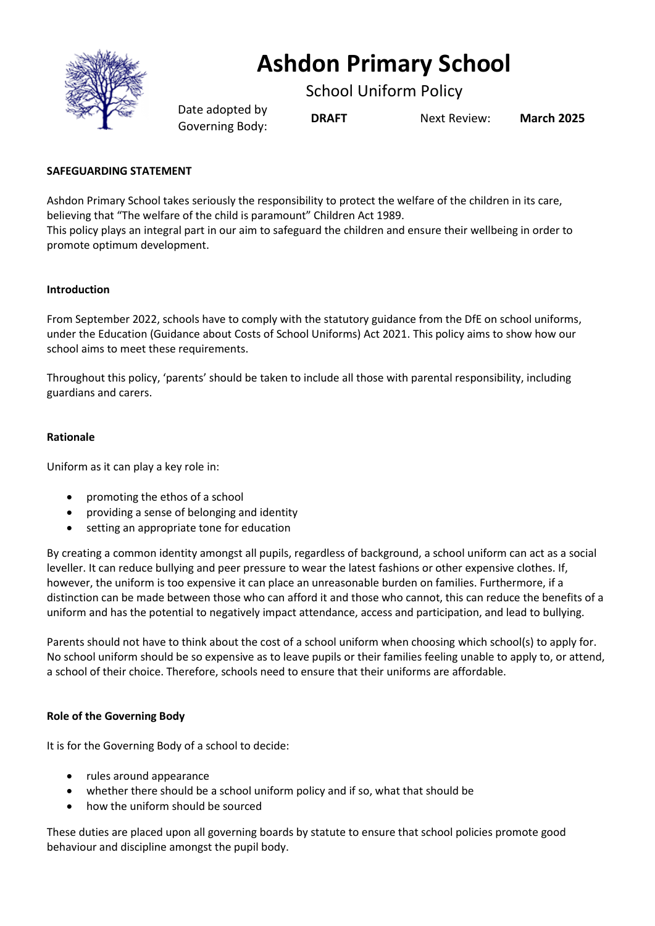

# **Ashdon Primary School**

School Uniform Policy

Date adopted by Governing Body: **DRAFT** Next Review: **March <sup>2025</sup>**

## **SAFEGUARDING STATEMENT**

Ashdon Primary School takes seriously the responsibility to protect the welfare of the children in its care, believing that "The welfare of the child is paramount" Children Act 1989.

This policy plays an integral part in our aim to safeguard the children and ensure their wellbeing in order to promote optimum development.

## **Introduction**

From September 2022, schools have to comply with the statutory guidance from the DfE on school uniforms, under the Education (Guidance about Costs of School Uniforms) Act 2021. This policy aims to show how our school aims to meet these requirements.

Throughout this policy, 'parents' should be taken to include all those with parental responsibility, including guardians and carers.

## **Rationale**

Uniform as it can play a key role in:

- promoting the ethos of a school
- providing a sense of belonging and identity
- setting an appropriate tone for education

By creating a common identity amongst all pupils, regardless of background, a school uniform can act as a social leveller. It can reduce bullying and peer pressure to wear the latest fashions or other expensive clothes. If, however, the uniform is too expensive it can place an unreasonable burden on families. Furthermore, if a distinction can be made between those who can afford it and those who cannot, this can reduce the benefits of a uniform and has the potential to negatively impact attendance, access and participation, and lead to bullying.

Parents should not have to think about the cost of a school uniform when choosing which school(s) to apply for. No school uniform should be so expensive as to leave pupils or their families feeling unable to apply to, or attend, a school of their choice. Therefore, schools need to ensure that their uniforms are affordable.

## **Role of the Governing Body**

It is for the Governing Body of a school to decide:

- rules around appearance
- whether there should be a school uniform policy and if so, what that should be
- how the uniform should be sourced

These duties are placed upon all governing boards by statute to ensure that school policies promote good behaviour and discipline amongst the pupil body.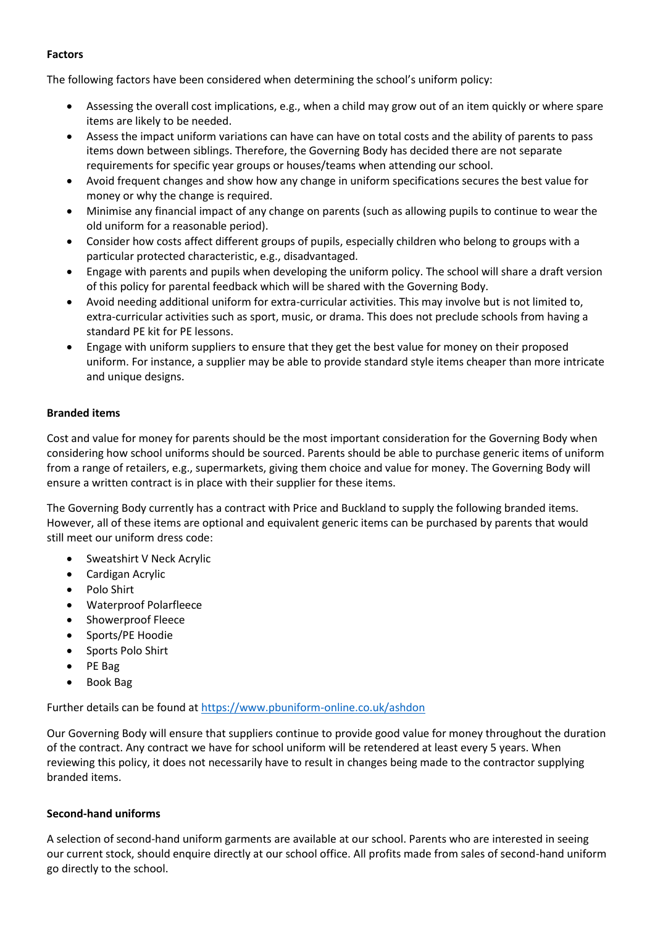#### **Factors**

The following factors have been considered when determining the school's uniform policy:

- Assessing the overall cost implications, e.g., when a child may grow out of an item quickly or where spare items are likely to be needed.
- Assess the impact uniform variations can have can have on total costs and the ability of parents to pass items down between siblings. Therefore, the Governing Body has decided there are not separate requirements for specific year groups or houses/teams when attending our school.
- Avoid frequent changes and show how any change in uniform specifications secures the best value for money or why the change is required.
- Minimise any financial impact of any change on parents (such as allowing pupils to continue to wear the old uniform for a reasonable period).
- Consider how costs affect different groups of pupils, especially children who belong to groups with a particular protected characteristic, e.g., disadvantaged.
- Engage with parents and pupils when developing the uniform policy. The school will share a draft version of this policy for parental feedback which will be shared with the Governing Body.
- Avoid needing additional uniform for extra-curricular activities. This may involve but is not limited to, extra-curricular activities such as sport, music, or drama. This does not preclude schools from having a standard PE kit for PE lessons.
- Engage with uniform suppliers to ensure that they get the best value for money on their proposed uniform. For instance, a supplier may be able to provide standard style items cheaper than more intricate and unique designs.

## **Branded items**

Cost and value for money for parents should be the most important consideration for the Governing Body when considering how school uniforms should be sourced. Parents should be able to purchase generic items of uniform from a range of retailers, e.g., supermarkets, giving them choice and value for money. The Governing Body will ensure a written contract is in place with their supplier for these items.

The Governing Body currently has a contract with Price and Buckland to supply the following branded items. However, all of these items are optional and equivalent generic items can be purchased by parents that would still meet our uniform dress code:

- Sweatshirt V Neck Acrylic
- Cardigan Acrylic
- Polo Shirt
- Waterproof Polarfleece
- Showerproof Fleece
- Sports/PE Hoodie
- Sports Polo Shirt
- PE Bag
- Book Bag

Further details can be found at<https://www.pbuniform-online.co.uk/ashdon>

Our Governing Body will ensure that suppliers continue to provide good value for money throughout the duration of the contract. Any contract we have for school uniform will be retendered at least every 5 years. When reviewing this policy, it does not necessarily have to result in changes being made to the contractor supplying branded items.

## **Second-hand uniforms**

A selection of second-hand uniform garments are available at our school. Parents who are interested in seeing our current stock, should enquire directly at our school office. All profits made from sales of second-hand uniform go directly to the school.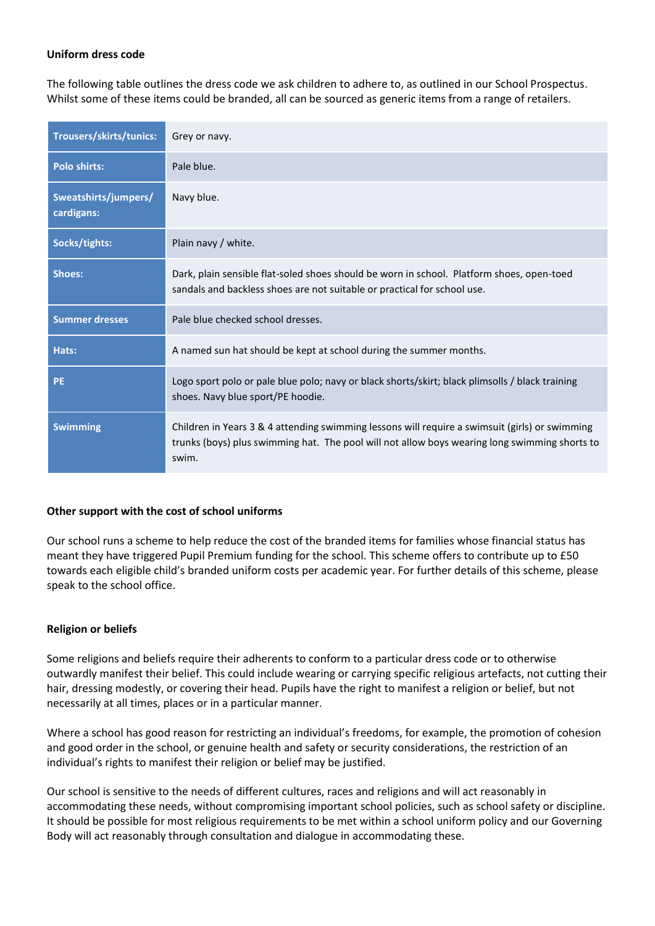#### **Uniform dress code**

The following table outlines the dress code we ask children to adhere to, as outlined in our School Prospectus. Whilst some of these items could be branded, all can be sourced as generic items from a range of retailers.

| <b>Trousers/skirts/tunics:</b>     | Grey or navy.                                                                                                                                                                                            |
|------------------------------------|----------------------------------------------------------------------------------------------------------------------------------------------------------------------------------------------------------|
| <b>Polo shirts:</b>                | Pale blue.                                                                                                                                                                                               |
| Sweatshirts/jumpers/<br>cardigans: | Navy blue.                                                                                                                                                                                               |
| Socks/tights:                      | Plain navy / white.                                                                                                                                                                                      |
| Shoes:                             | Dark, plain sensible flat-soled shoes should be worn in school. Platform shoes, open-toed<br>sandals and backless shoes are not suitable or practical for school use.                                    |
| <b>Summer dresses</b>              | Pale blue checked school dresses.                                                                                                                                                                        |
| Hats:                              | A named sun hat should be kept at school during the summer months.                                                                                                                                       |
| <b>PE</b>                          | Logo sport polo or pale blue polo; navy or black shorts/skirt; black plimsolls / black training<br>shoes. Navy blue sport/PE hoodie.                                                                     |
| <b>Swimming</b>                    | Children in Years 3 & 4 attending swimming lessons will require a swimsuit (girls) or swimming<br>trunks (boys) plus swimming hat. The pool will not allow boys wearing long swimming shorts to<br>swim. |

## **Other support with the cost of school uniforms**

Our school runs a scheme to help reduce the cost of the branded items for families whose financial status has meant they have triggered Pupil Premium funding for the school. This scheme offers to contribute up to £50 towards each eligible child's branded uniform costs per academic year. For further details of this scheme, please speak to the school office.

#### **Religion or beliefs**

Some religions and beliefs require their adherents to conform to a particular dress code or to otherwise outwardly manifest their belief. This could include wearing or carrying specific religious artefacts, not cutting their hair, dressing modestly, or covering their head. Pupils have the right to manifest a religion or belief, but not necessarily at all times, places or in a particular manner.

Where a school has good reason for restricting an individual's freedoms, for example, the promotion of cohesion and good order in the school, or genuine health and safety or security considerations, the restriction of an individual's rights to manifest their religion or belief may be justified.

Our school is sensitive to the needs of different cultures, races and religions and will act reasonably in accommodating these needs, without compromising important school policies, such as school safety or discipline. It should be possible for most religious requirements to be met within a school uniform policy and our Governing Body will act reasonably through consultation and dialogue in accommodating these.